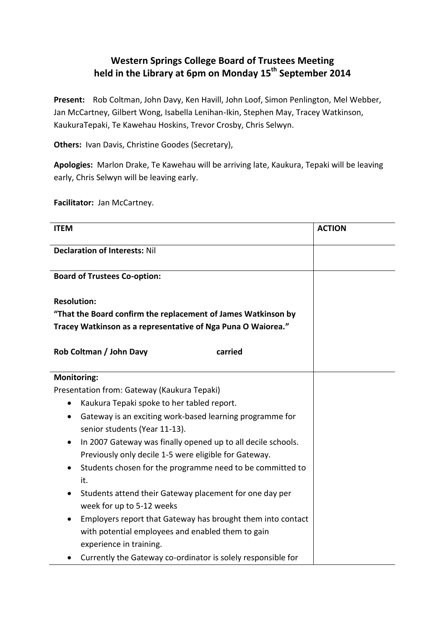# **Western Springs College Board of Trustees Meeting held in the Library at 6pm on Monday 15th September 2014**

**Present:** Rob Coltman, John Davy, Ken Havill, John Loof, Simon Penlington, Mel Webber, Jan McCartney, Gilbert Wong, Isabella Lenihan-Ikin, Stephen May, Tracey Watkinson, KaukuraTepaki, Te Kawehau Hoskins, Trevor Crosby, Chris Selwyn.

**Others:** Ivan Davis, Christine Goodes (Secretary),

**Apologies:** Marlon Drake, Te Kawehau will be arriving late, Kaukura, Tepaki will be leaving early, Chris Selwyn will be leaving early.

**Facilitator:** Jan McCartney.

| <b>ITEM</b>                                                               | <b>ACTION</b> |
|---------------------------------------------------------------------------|---------------|
| <b>Declaration of Interests: Nil</b>                                      |               |
| <b>Board of Trustees Co-option:</b>                                       |               |
| <b>Resolution:</b>                                                        |               |
| "That the Board confirm the replacement of James Watkinson by             |               |
| Tracey Watkinson as a representative of Nga Puna O Waiorea."              |               |
|                                                                           |               |
| Rob Coltman / John Davy<br>carried                                        |               |
| <b>Monitoring:</b>                                                        |               |
| Presentation from: Gateway (Kaukura Tepaki)                               |               |
| Kaukura Tepaki spoke to her tabled report.                                |               |
| Gateway is an exciting work-based learning programme for<br>$\bullet$     |               |
| senior students (Year 11-13).                                             |               |
| In 2007 Gateway was finally opened up to all decile schools.<br>$\bullet$ |               |
| Previously only decile 1-5 were eligible for Gateway.                     |               |
| Students chosen for the programme need to be committed to<br>it.          |               |
| Students attend their Gateway placement for one day per<br>٠              |               |
| week for up to 5-12 weeks                                                 |               |
| Employers report that Gateway has brought them into contact<br>$\bullet$  |               |
| with potential employees and enabled them to gain                         |               |
| experience in training.                                                   |               |
| Currently the Gateway co-ordinator is solely responsible for              |               |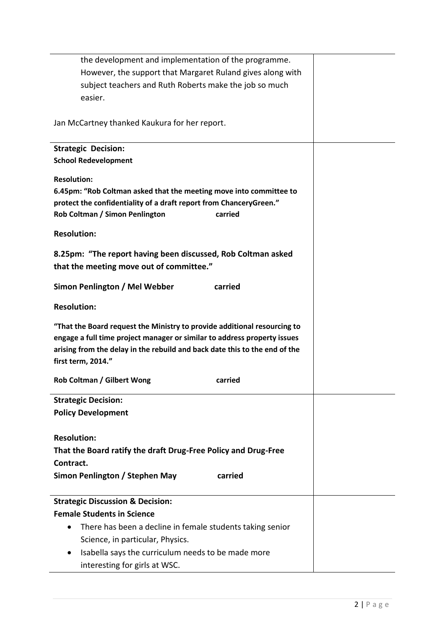| the development and implementation of the programme.<br>However, the support that Margaret Ruland gives along with                                                                                                                                       |  |
|----------------------------------------------------------------------------------------------------------------------------------------------------------------------------------------------------------------------------------------------------------|--|
| subject teachers and Ruth Roberts make the job so much<br>easier.                                                                                                                                                                                        |  |
| Jan McCartney thanked Kaukura for her report.                                                                                                                                                                                                            |  |
| <b>Strategic Decision:</b><br><b>School Redevelopment</b>                                                                                                                                                                                                |  |
| <b>Resolution:</b><br>6.45pm: "Rob Coltman asked that the meeting move into committee to<br>protect the confidentiality of a draft report from ChanceryGreen."<br>Rob Coltman / Simon Penlington<br>carried                                              |  |
| <b>Resolution:</b>                                                                                                                                                                                                                                       |  |
| 8.25pm: "The report having been discussed, Rob Coltman asked<br>that the meeting move out of committee."                                                                                                                                                 |  |
| Simon Penlington / Mel Webber<br>carried                                                                                                                                                                                                                 |  |
| <b>Resolution:</b>                                                                                                                                                                                                                                       |  |
| "That the Board request the Ministry to provide additional resourcing to<br>engage a full time project manager or similar to address property issues<br>arising from the delay in the rebuild and back date this to the end of the<br>first term, 2014." |  |
| Rob Coltman / Gilbert Wong<br>carried                                                                                                                                                                                                                    |  |
| <b>Strategic Decision:</b><br><b>Policy Development</b>                                                                                                                                                                                                  |  |
| <b>Resolution:</b><br>That the Board ratify the draft Drug-Free Policy and Drug-Free<br>Contract.<br>carried<br>Simon Penlington / Stephen May                                                                                                           |  |
| <b>Strategic Discussion &amp; Decision:</b>                                                                                                                                                                                                              |  |
| <b>Female Students in Science</b><br>There has been a decline in female students taking senior                                                                                                                                                           |  |
| Science, in particular, Physics.                                                                                                                                                                                                                         |  |
| Isabella says the curriculum needs to be made more<br>interesting for girls at WSC.                                                                                                                                                                      |  |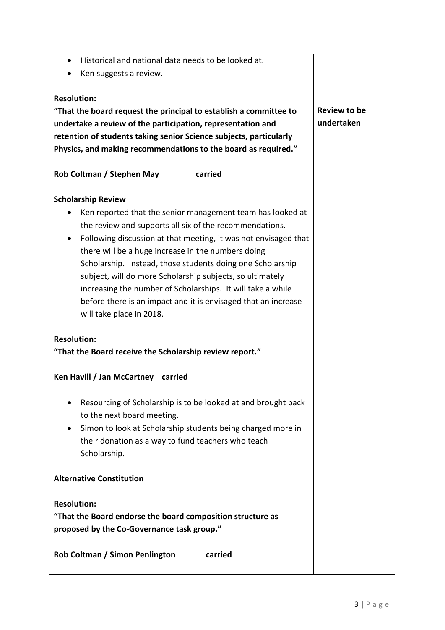- Historical and national data needs to be looked at.
- Ken suggests a review.

## **Resolution:**

**"That the board request the principal to establish a committee to undertake a review of the participation, representation and retention of students taking senior Science subjects, particularly Physics, and making recommendations to the board as required."**

**Rob Coltman / Stephen May carried**

### **Scholarship Review**

- Ken reported that the senior management team has looked at the review and supports all six of the recommendations.
- Following discussion at that meeting, it was not envisaged that there will be a huge increase in the numbers doing Scholarship. Instead, those students doing one Scholarship subject, will do more Scholarship subjects, so ultimately increasing the number of Scholarships. It will take a while before there is an impact and it is envisaged that an increase will take place in 2018.

### **Resolution:**

**"That the Board receive the Scholarship review report."**

### **Ken Havill / Jan McCartney carried**

- Resourcing of Scholarship is to be looked at and brought back to the next board meeting.
- Simon to look at Scholarship students being charged more in their donation as a way to fund teachers who teach Scholarship.

### **Alternative Constitution**

### **Resolution:**

**"That the Board endorse the board composition structure as proposed by the Co-Governance task group."**

**Rob Coltman / Simon Penlington carried**

**Review to be undertaken**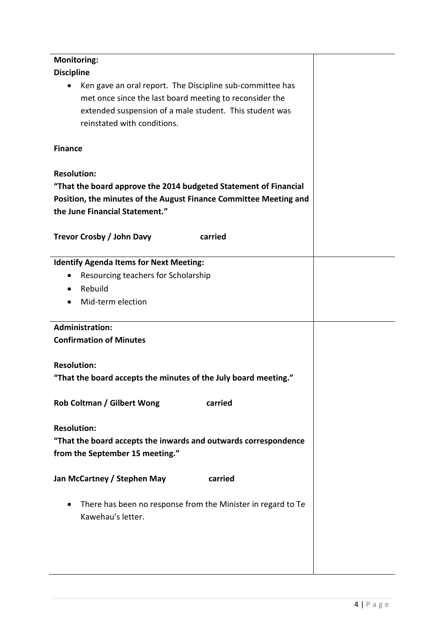| <b>Monitoring:</b>                                                        |  |
|---------------------------------------------------------------------------|--|
| <b>Discipline</b>                                                         |  |
| Ken gave an oral report. The Discipline sub-committee has<br>$\bullet$    |  |
| met once since the last board meeting to reconsider the                   |  |
| extended suspension of a male student. This student was                   |  |
|                                                                           |  |
| reinstated with conditions.                                               |  |
| <b>Finance</b>                                                            |  |
| <b>Resolution:</b>                                                        |  |
| "That the board approve the 2014 budgeted Statement of Financial          |  |
| Position, the minutes of the August Finance Committee Meeting and         |  |
| the June Financial Statement."                                            |  |
|                                                                           |  |
|                                                                           |  |
| Trevor Crosby / John Davy<br>carried                                      |  |
| <b>Identify Agenda Items for Next Meeting:</b>                            |  |
|                                                                           |  |
| Resourcing teachers for Scholarship<br>$\bullet$                          |  |
| Rebuild<br>$\bullet$                                                      |  |
| Mid-term election<br>$\bullet$                                            |  |
|                                                                           |  |
| <b>Administration:</b>                                                    |  |
| <b>Confirmation of Minutes</b>                                            |  |
|                                                                           |  |
| <b>Resolution:</b>                                                        |  |
| "That the board accepts the minutes of the July board meeting."           |  |
|                                                                           |  |
| carried                                                                   |  |
| <b>Rob Coltman / Gilbert Wong</b>                                         |  |
| <b>Resolution:</b>                                                        |  |
|                                                                           |  |
| "That the board accepts the inwards and outwards correspondence           |  |
| from the September 15 meeting."                                           |  |
|                                                                           |  |
| Jan McCartney / Stephen May<br>carried                                    |  |
|                                                                           |  |
| There has been no response from the Minister in regard to Te<br>$\bullet$ |  |
| Kawehau's letter.                                                         |  |
|                                                                           |  |
|                                                                           |  |
|                                                                           |  |
|                                                                           |  |